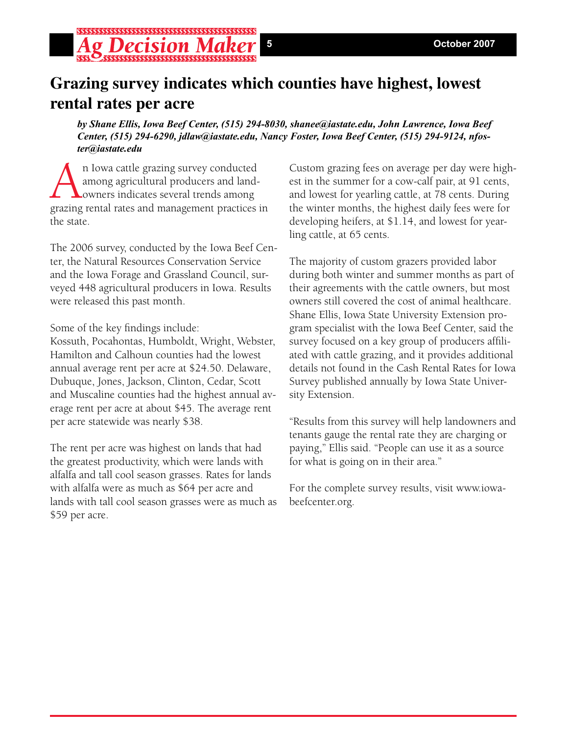# **Grazing survey indicates which counties have highest, lowest rental rates per acre**

*by Shane Ellis, Iowa Beef Center, (515) 294-8030, shanee@iastate.edu, John Lawrence, Iowa Beef Center, (515) 294-6290, jdlaw@iastate.edu, Nancy Foster, Iowa Beef Center, (515) 294-9124, nfoster@iastate.edu*

An Iowa cattle grazing survey conducted<br>among agricultural producers and land-<br>owners indicates several trends among<br>grazing rental rates and management practices among agricultural producers and landowners indicates several trends among grazing rental rates and management practices in the state.

The 2006 survey, conducted by the Iowa Beef Center, the Natural Resources Conservation Service and the Iowa Forage and Grassland Council, surveyed 448 agricultural producers in Iowa. Results were released this past month.

Some of the key findings include:

Kossuth, Pocahontas, Humboldt, Wright, Webster, Hamilton and Calhoun counties had the lowest annual average rent per acre at \$24.50. Delaware, Dubuque, Jones, Jackson, Clinton, Cedar, Scott and Muscaline counties had the highest annual average rent per acre at about \$45. The average rent per acre statewide was nearly \$38.

The rent per acre was highest on lands that had the greatest productivity, which were lands with alfalfa and tall cool season grasses. Rates for lands with alfalfa were as much as \$64 per acre and lands with tall cool season grasses were as much as \$59 per acre.

Custom grazing fees on average per day were highest in the summer for a cow-calf pair, at 91 cents, and lowest for yearling cattle, at 78 cents. During the winter months, the highest daily fees were for developing heifers, at \$1.14, and lowest for yearling cattle, at 65 cents.

The majority of custom grazers provided labor during both winter and summer months as part of their agreements with the cattle owners, but most owners still covered the cost of animal healthcare. Shane Ellis, Iowa State University Extension program specialist with the Iowa Beef Center, said the survey focused on a key group of producers affiliated with cattle grazing, and it provides additional details not found in the Cash Rental Rates for Iowa Survey published annually by Iowa State University Extension.

"Results from this survey will help landowners and tenants gauge the rental rate they are charging or paying," Ellis said. "People can use it as a source for what is going on in their area."

For the complete survey results, visit www.iowabeefcenter.org.